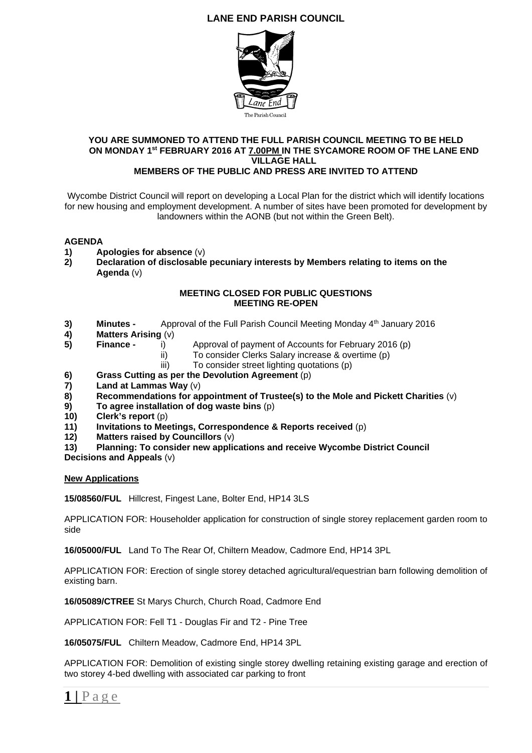# **LANE END PARISH COUNCIL**



#### **YOU ARE SUMMONED TO ATTEND THE FULL PARISH COUNCIL MEETING TO BE HELD ON MONDAY 1st FEBRUARY 2016 AT 7.00PM IN THE SYCAMORE ROOM OF THE LANE END VILLAGE HALL MEMBERS OF THE PUBLIC AND PRESS ARE INVITED TO ATTEND**

Wycombe District Council will report on developing a Local Plan for the district which will identify locations for new housing and employment development. A number of sites have been promoted for development by landowners within the AONB (but not within the Green Belt).

## **AGENDA**

- **1) Apologies for absence** (v)
- **2) Declaration of disclosable pecuniary interests by Members relating to items on the Agenda** (v)

#### **MEETING CLOSED FOR PUBLIC QUESTIONS MEETING RE-OPEN**

- **3) Minutes -** Approval of the Full Parish Council Meeting Monday 4<sup>th</sup> January 2016
- **4) Matters Arising** (v)
- 
- **5) Finance** i)Approval of payment of Accounts for February 2016 (p)
	- ii) To consider Clerks Salary increase & overtime (p)
	- iii) To consider street lighting quotations (p)
- **6)** Grass Cutting as per the Devolution Agreement (p)<br> **7)** Land at Lammas Way (v)
- **7) Land at Lammas Way** (v)
- **8) Recommendations for appointment of Trustee(s) to the Mole and Pickett Charities** (v)
- **9) To agree installation of dog waste bins** (p)
- **10) Clerk's report** (p)
- **11) Invitations to Meetings, Correspondence & Reports received** (p)
- **12) Matters raised by Councillors** (v)
- **13) Planning: To consider new applications and receive Wycombe District Council**
- **Decisions and Appeals** (v)

### **New Applications**

**15/08560/FUL** Hillcrest, Fingest Lane, Bolter End, HP14 3LS

APPLICATION FOR: Householder application for construction of single storey replacement garden room to side

**16/05000/FUL** Land To The Rear Of, Chiltern Meadow, Cadmore End, HP14 3PL

APPLICATION FOR: Erection of single storey detached agricultural/equestrian barn following demolition of existing barn.

**16/05089/CTREE** St Marys Church, Church Road, Cadmore End

APPLICATION FOR: Fell T1 - Douglas Fir and T2 - Pine Tree

**16/05075/FUL** Chiltern Meadow, Cadmore End, HP14 3PL

APPLICATION FOR: Demolition of existing single storey dwelling retaining existing garage and erection of two storey 4-bed dwelling with associated car parking to front